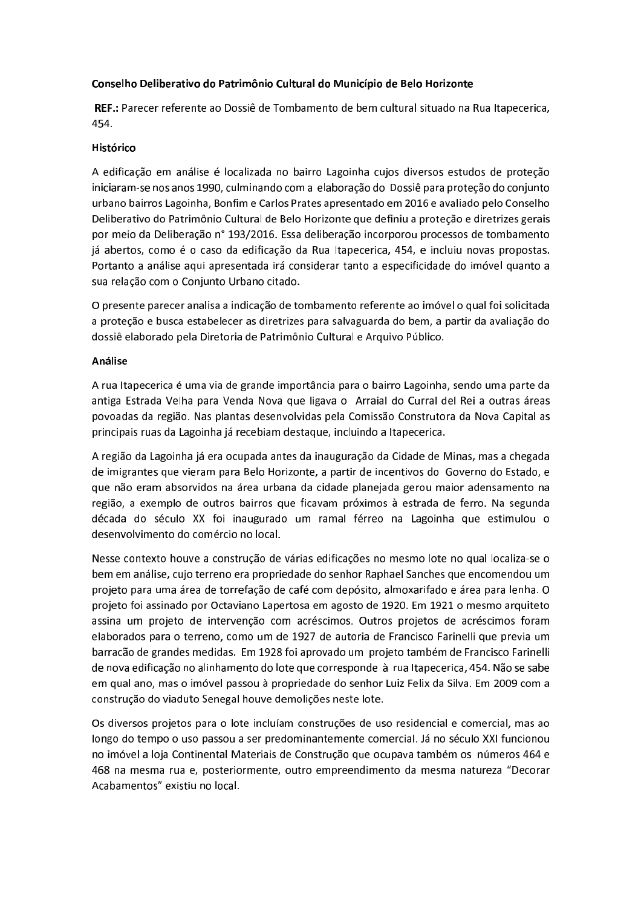## Conselho Deliberativo do Patrimônio Cultural do Município de Belo Horizonte

REF.: Parecer referente ao Dossiê de Tombamento de bem cultural situado na Rua Itapecerica, 454.

## Histórico

A edificação em análise é localizada no bairro Lagoinha cujos diversos estudos de proteção iniciaram-se nos anos 1990, culminando com a elaboração do Dossiê para proteção do conjunto urbano bairros Lagoinha, Bonfim e Carlos Prates apresentado em 2016 e avaliado pelo Conselho Deliberativo do Patrimônio Cultural de Belo Horizonte que definiu a proteção e diretrizes gerais por meio da Deliberação nº 193/2016. Essa deliberação incorporou processos de tombamento já abertos, como é o caso da edificação da Rua Itapecerica, 454, e incluiu novas propostas. Portanto a análise aqui apresentada irá considerar tanto a especificidade do imóvel quanto a sua relação com o Conjunto Urbano citado.

O presente parecer analisa a indicação de tombamento referente ao imóvel o qual foi solicitada a proteção e busca estabelecer as diretrizes para salvaguarda do bem, a partir da avaliação do dossiê elaborado pela Diretoria de Patrimônio Cultural e Arquivo Público.

## Análise

A rua Itapecerica é uma via de grande importância para o bairro Lagoinha, sendo uma parte da antiga Estrada Velha para Venda Nova que ligava o Arraial do Curral del Rei a outras áreas povoadas da região. Nas plantas desenvolvidas pela Comissão Construtora da Nova Capital as principais ruas da Lagoinha já recebiam destaque, incluindo a Itapecerica.

A região da Lagoinha já era ocupada antes da inauguração da Cidade de Minas, mas a chegada de imigrantes que vieram para Belo Horizonte, a partir de incentivos do Governo do Estado, e que não eram absorvidos na área urbana da cidade planejada gerou maior adensamento na região, a exemplo de outros bairros que ficavam próximos à estrada de ferro. Na segunda década do século XX foi inaugurado um ramal férreo na Lagoinha que estimulou o desenvolvimento do comércio no local.

Nesse contexto houve a construção de várias edificações no mesmo lote no qual localiza-se o bem em análise, cujo terreno era propriedade do senhor Raphael Sanches que encomendou um projeto para uma área de torrefação de café com depósito, almoxarifado e área para lenha. O projeto foi assinado por Octaviano Lapertosa em agosto de 1920. Em 1921 o mesmo arquiteto assina um projeto de intervenção com acréscimos. Outros projetos de acréscimos foram elaborados para o terreno, como um de 1927 de autoria de Francisco Farinelli que previa um barração de grandes medidas. Em 1928 foi aprovado um projeto também de Francisco Farinelli de nova edificação no alinhamento do lote que corresponde à rua Itapecerica, 454. Não se sabe em qual ano, mas o imóvel passou à propriedade do senhor Luiz Felix da Silva. Em 2009 com a construção do viaduto Senegal houve demolições neste lote.

Os diversos projetos para o lote incluíam construções de uso residencial e comercial, mas ao longo do tempo o uso passou a ser predominantemente comercial. Já no século XXI funcionou no imóvel a loja Continental Materiais de Construção que ocupava também os números 464 e 468 na mesma rua e, posteriormente, outro empreendimento da mesma natureza "Decorar Acabamentos" existiu no local.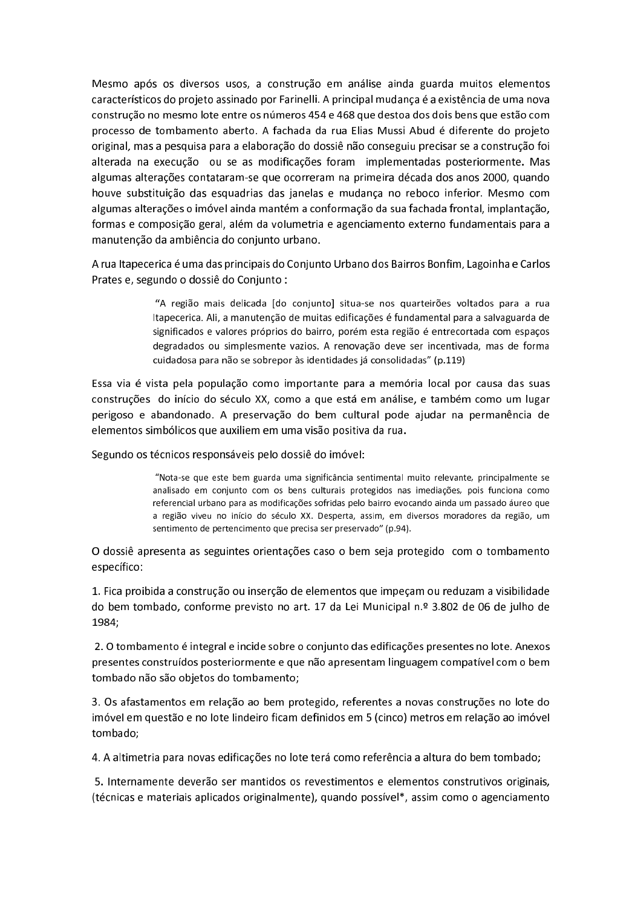Mesmo após os diversos usos, a construção em análise ainda guarda muitos elementos característicos do projeto assinado por Farinelli. A principal mudança é a existência de uma nova construção no mesmo lote entre os números 454 e 468 que destoa dos dois bens que estão com processo de tombamento aberto. A fachada da rua Elias Mussi Abud é diferente do projeto original, mas a pesquisa para a elaboração do dossiê não conseguiu precisar se a construção foi alterada na execução ou se as modificações foram implementadas posteriormente. Mas algumas alterações contataram-se que ocorreram na primeira década dos anos 2000, quando houve substituição das esquadrias das janelas e mudança no reboco inferior. Mesmo com algumas alterações o imóvel ainda mantém a conformação da sua fachada frontal, implantação, formas e composição geral, além da volumetria e agenciamento externo fundamentais para a manutenção da ambiência do conjunto urbano.

A rua Itapecerica é uma das principais do Conjunto Urbano dos Bairros Bonfim, Lagoinha e Carlos Prates e, segundo o dossiê do Conjunto :

> "A região mais delicada [do conjunto] situa-se nos quarteirões voltados para a rua Itapecerica. Ali, a manutenção de muitas edificações é fundamental para a salvaguarda de significados e valores próprios do bairro, porém esta região é entrecortada com espaços degradados ou simplesmente vazios. A renovação deve ser incentivada, mas de forma cuidadosa para não se sobrepor às identidades já consolidadas" (p.119)

Essa via é vista pela população como importante para a memória local por causa das suas construções do início do século XX, como a que está em análise, e também como um lugar perigoso e abandonado. A preservação do bem cultural pode ajudar na permanência de elementos simbólicos que auxiliem em uma visão positiva da rua.

Segundo os técnicos responsáveis pelo dossiê do imóvel:

"Nota-se que este bem guarda uma significância sentimental muito relevante, principalmente se analisado em conjunto com os bens culturais protegidos nas imediações, pois funciona como referencial urbano para as modificações sofridas pelo bairro evocando ainda um passado áureo que a região viveu no início do século XX. Desperta, assim, em diversos moradores da região, um sentimento de pertencimento que precisa ser preservado" (p.94).

O dossiê apresenta as seguintes orientações caso o bem seja protegido com o tombamento específico:

1. Fica proibida a construção ou inserção de elementos que impeçam ou reduzam a visibilidade do bem tombado, conforme previsto no art. 17 da Lei Municipal n.º 3.802 de 06 de julho de 1984;

2. O tombamento é integral e incide sobre o conjunto das edificações presentes no lote. Anexos presentes construídos posteriormente e que não apresentam linguagem compatível com o bem tombado não são objetos do tombamento;

3. Os afastamentos em relação ao bem protegido, referentes a novas construções no lote do imóvel em questão e no lote lindeiro ficam definidos em 5 (cinco) metros em relação ao imóvel tombado:

4. A altimetria para novas edificações no lote terá como referência a altura do bem tombado;

5. Internamente deverão ser mantidos os revestimentos e elementos construtivos originais, (técnicas e materiais aplicados originalmente), quando possível\*, assim como o agenciamento